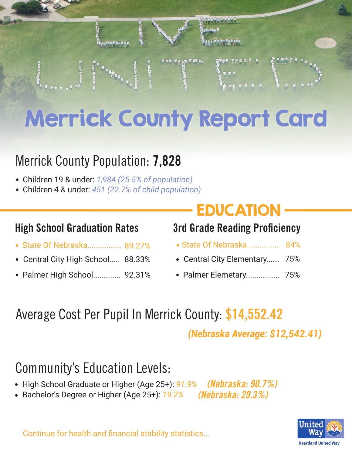

# Merrick County Report Card

### Merrick County Population: **7,828**

- Children 19 & under: *1,984 (25.5% of population)* .
- Children 4 & under: *451 (22.7% of child population)* .

- State Of Nebraska................ . 89.27%
- . . State Of Nebraska............... Central City High School..... 88.33%
- . Palmer High School............. 92.31%

## **EDUCATION**

#### **High School Graduation Rates 3rd Grade Reading Proficiency**

- 84%
- . Central City Elementary...... 75%
- . Palmer Elemetary................ 75%

# Average Cost Per Pupil In Merrick County: **\$14,552.42**

*(Nebraska Average: \$12,542.41)*

### Community's Education Levels:

- High School Graduate or Higher (Age 25+): 91.9% *(Nebraska: 90.7%)*
- High School Graduate or Higher (Age 25+): 97<br>• Bachelor's Degree or Higher (Age 25+): <u>19.2</u>% *(Nebraska: 29.3%)*

**Heartland United Way** 

Continue for health and financial stability statistics...